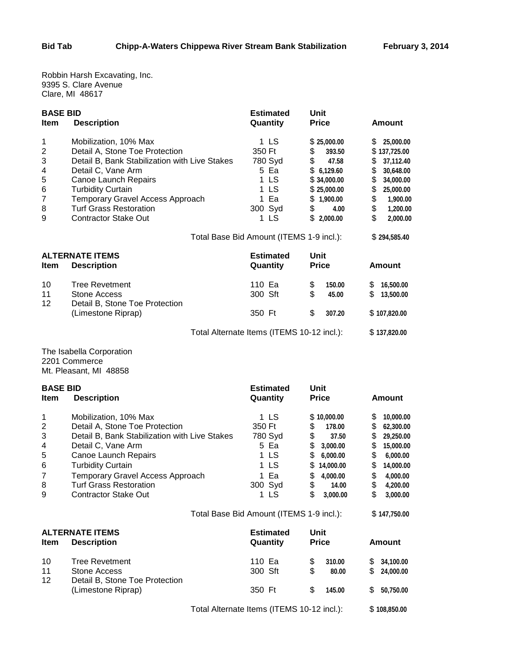Robbin Harsh Excavating, Inc. 9395 S. Clare Avenue Clare, MI 48617

| <b>BASE BID</b>        |                                                                                 | <b>Estimated</b>                           | Unit                        |                           |  |  |
|------------------------|---------------------------------------------------------------------------------|--------------------------------------------|-----------------------------|---------------------------|--|--|
| Item                   | <b>Description</b>                                                              | Quantity                                   | <b>Price</b>                | <b>Amount</b>             |  |  |
| 1                      | Mobilization, 10% Max                                                           | 1 LS                                       | \$25,000.00                 | \$<br>25,000.00           |  |  |
| $\overline{c}$<br>3    | Detail A, Stone Toe Protection<br>Detail B, Bank Stabilization with Live Stakes | 350 Ft<br>780 Syd                          | \$<br>393.50<br>\$<br>47.58 | \$137,725.00<br>37,112.40 |  |  |
| 4                      | Detail C, Vane Arm                                                              | 5 Ea                                       | \$6,129.60                  | \$<br>\$<br>30,648.00     |  |  |
| 5                      | Canoe Launch Repairs                                                            | 1 LS                                       | \$34,000.00                 | \$<br>34,000.00           |  |  |
| 6                      | <b>Turbidity Curtain</b>                                                        | 1 LS                                       | \$25,000.00                 | \$<br>25,000.00           |  |  |
| 7                      | Temporary Gravel Access Approach                                                | 1 Ea                                       | \$1,900.00                  | \$<br>1,900.00            |  |  |
| 8                      | <b>Turf Grass Restoration</b>                                                   | 300 Syd                                    | \$<br>4.00                  | \$<br>1,200.00            |  |  |
| 9                      | <b>Contractor Stake Out</b>                                                     | 1 LS                                       | \$2,000.00                  | \$<br>2,000.00            |  |  |
|                        |                                                                                 | Total Base Bid Amount (ITEMS 1-9 incl.):   |                             | \$294,585.40              |  |  |
| <b>ALTERNATE ITEMS</b> |                                                                                 | <b>Estimated</b>                           | Unit                        |                           |  |  |
| Item                   | <b>Description</b>                                                              | Quantity                                   | <b>Price</b>                | <b>Amount</b>             |  |  |
| 10                     | <b>Tree Revetment</b>                                                           | 110 Ea                                     | \$<br>150.00                | \$<br>16,500.00           |  |  |
| 11                     | Stone Access<br>Detail B, Stone Toe Protection                                  | 300 Sft                                    | \$<br>45.00                 | \$<br>13,500.00           |  |  |
| 12                     | (Limestone Riprap)                                                              | 350 Ft                                     | \$<br>307.20                | \$107,820.00              |  |  |
|                        |                                                                                 | Total Alternate Items (ITEMS 10-12 incl.): |                             |                           |  |  |
|                        | The Isabella Corporation                                                        |                                            |                             |                           |  |  |
|                        | 2201 Commerce                                                                   |                                            |                             |                           |  |  |
|                        | Mt. Pleasant, MI 48858                                                          |                                            |                             |                           |  |  |
| <b>BASE BID</b>        |                                                                                 | <b>Estimated</b>                           | Unit                        |                           |  |  |
| Item                   | <b>Description</b>                                                              | Quantity                                   | <b>Price</b>                | <b>Amount</b>             |  |  |
| 1                      | Mobilization, 10% Max                                                           | 1 LS                                       | \$10,000.00                 | \$<br>10,000.00           |  |  |
| 2                      | Detail A, Stone Toe Protection                                                  | 350 Ft                                     | \$<br>178.00                | \$<br>62,300.00           |  |  |
| 3                      | Detail B, Bank Stabilization with Live Stakes                                   | 780 Syd                                    | \$<br>37.50                 | \$<br>29,250.00           |  |  |
| 4                      | Detail C, Vane Arm                                                              | 5 Ea                                       | \$<br>3,000.00              | \$<br>15,000.00           |  |  |
| 5                      | Canoe Launch Repairs                                                            | 1 LS                                       | \$<br>6,000.00              | \$<br>6,000.00            |  |  |
| 6                      | <b>Turbidity Curtain</b>                                                        | 1 LS                                       | \$<br>14,000.00             | \$<br>14,000.00           |  |  |
| 7                      | Temporary Gravel Access Approach                                                | 1 Ea                                       | \$<br>4,000.00              | \$<br>4,000.00            |  |  |
| 8                      | <b>Turf Grass Restoration</b>                                                   | 300 Syd                                    | \$<br>14.00                 | \$<br>4,200.00            |  |  |
| 9                      | <b>Contractor Stake Out</b>                                                     | 1 LS                                       | \$<br>3,000.00              | \$<br>3,000.00            |  |  |
|                        |                                                                                 | Total Base Bid Amount (ITEMS 1-9 incl.):   |                             | \$147,750.00              |  |  |
|                        | <b>ALTERNATE ITEMS</b>                                                          | <b>Estimated</b>                           | <b>Unit</b>                 |                           |  |  |
| Item                   | <b>Description</b>                                                              | Quantity                                   | <b>Price</b>                | <b>Amount</b>             |  |  |
| 10                     | <b>Tree Revetment</b>                                                           | 110 Ea                                     | \$<br>310.00                | \$<br>34,100.00           |  |  |
| 11                     | <b>Stone Access</b>                                                             | 300 Sft                                    | \$<br>80.00                 | \$<br>24,000.00           |  |  |
| 12                     | Detail B, Stone Toe Protection                                                  |                                            |                             |                           |  |  |
|                        | (Limestone Riprap)                                                              | 350 Ft                                     | \$<br>145.00                | 50,750.00<br>S.           |  |  |
|                        |                                                                                 | Total Alternate Items (ITEMS 10-12 incl.): |                             |                           |  |  |